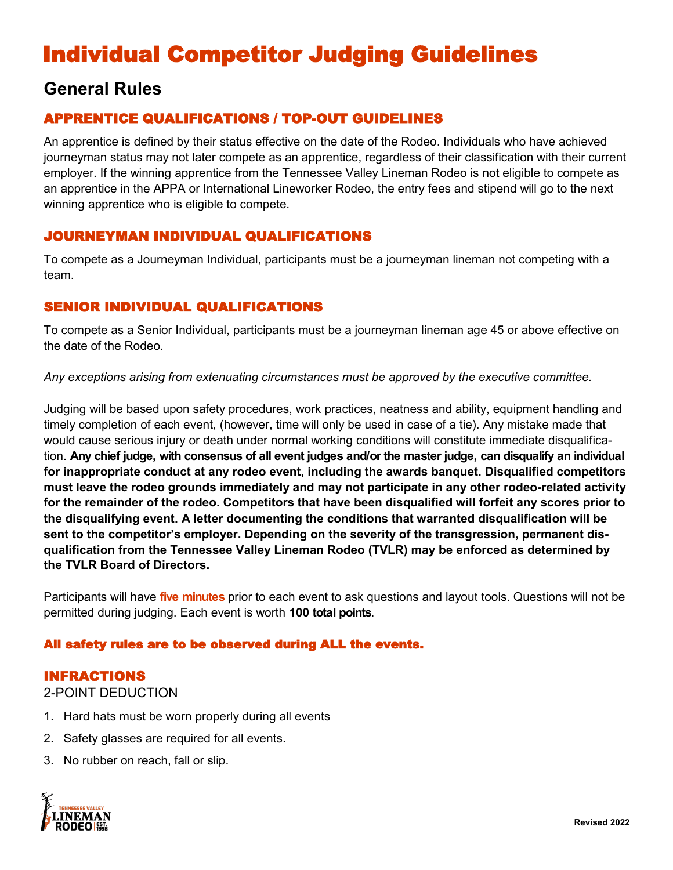# Individual Competitor Judging Guidelines

## **General Rules**

## APPRENTICE QUALIFICATIONS / TOP-OUT GUIDELINES

An apprentice is defined by their status effective on the date of the Rodeo. Individuals who have achieved journeyman status may not later compete as an apprentice, regardless of their classification with their current employer. If the winning apprentice from the Tennessee Valley Lineman Rodeo is not eligible to compete as an apprentice in the APPA or International Lineworker Rodeo, the entry fees and stipend will go to the next winning apprentice who is eligible to compete.

## JOURNEYMAN INDIVIDUAL QUALIFICATIONS

To compete as a Journeyman Individual, participants must be a journeyman lineman not competing with a team.

## SENIOR INDIVIDUAL QUALIFICATIONS

To compete as a Senior Individual, participants must be a journeyman lineman age 45 or above effective on the date of the Rodeo.

*Any exceptions arising from extenuating circumstances must be approved by the executive committee.* 

Judging will be based upon safety procedures, work practices, neatness and ability, equipment handling and timely completion of each event, (however, time will only be used in case of a tie). Any mistake made that would cause serious injury or death under normal working conditions will constitute immediate disqualification. **Any chief judge, with consensus of all event judges and/or the master judge, can disqualify an individual for inappropriate conduct at any rodeo event, including the awards banquet. Disqualified competitors must leave the rodeo grounds immediately and may not participate in any other rodeo-related activity for the remainder of the rodeo. Competitors that have been disqualified will forfeit any scores prior to the disqualifying event. A letter documenting the conditions that warranted disqualification will be sent to the competitor's employer. Depending on the severity of the transgression, permanent disqualification from the Tennessee Valley Lineman Rodeo (TVLR) may be enforced as determined by the TVLR Board of Directors.** 

Participants will have **five minutes** prior to each event to ask questions and layout tools. Questions will not be permitted during judging. Each event is worth **100 total points**.

## All safety rules are to be observed during ALL the events.

### INFRACTIONS

### 2-POINT DEDUCTION

- 1. Hard hats must be worn properly during all events
- 2. Safety glasses are required for all events.
- 3. No rubber on reach, fall or slip.

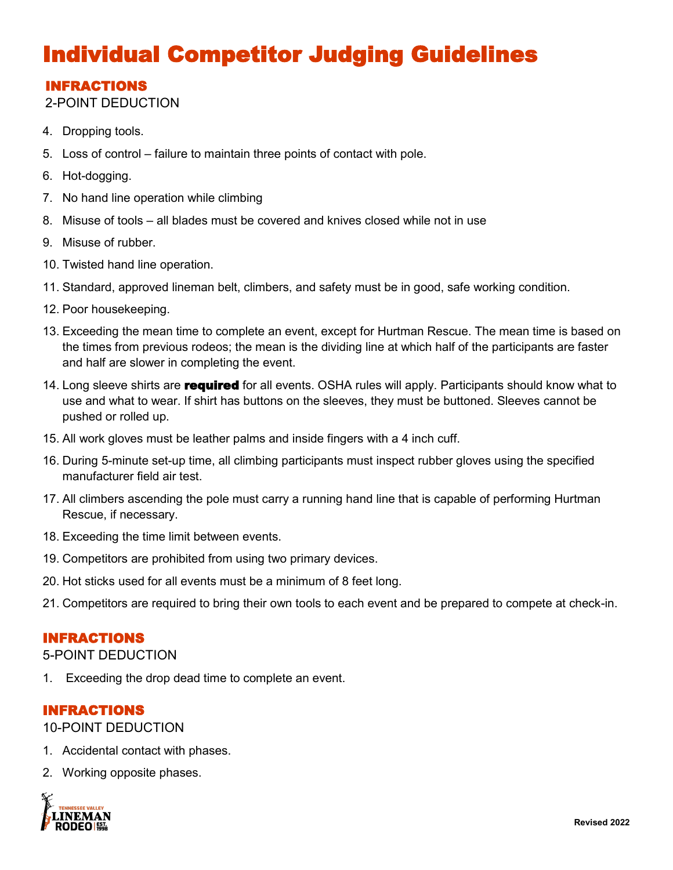# Individual Competitor Judging Guidelines

## INFRACTIONS

2-POINT DEDUCTION

- 4. Dropping tools.
- 5. Loss of control failure to maintain three points of contact with pole.
- 6. Hot-dogging.
- 7. No hand line operation while climbing
- 8. Misuse of tools all blades must be covered and knives closed while not in use
- 9. Misuse of rubber.
- 10. Twisted hand line operation.
- 11. Standard, approved lineman belt, climbers, and safety must be in good, safe working condition.
- 12. Poor housekeeping.
- 13. Exceeding the mean time to complete an event, except for Hurtman Rescue. The mean time is based on the times from previous rodeos; the mean is the dividing line at which half of the participants are faster and half are slower in completing the event.
- 14. Long sleeve shirts are **required** for all events. OSHA rules will apply. Participants should know what to use and what to wear. If shirt has buttons on the sleeves, they must be buttoned. Sleeves cannot be pushed or rolled up.
- 15. All work gloves must be leather palms and inside fingers with a 4 inch cuff.
- 16. During 5-minute set-up time, all climbing participants must inspect rubber gloves using the specified manufacturer field air test.
- 17. All climbers ascending the pole must carry a running hand line that is capable of performing Hurtman Rescue, if necessary.
- 18. Exceeding the time limit between events.
- 19. Competitors are prohibited from using two primary devices.
- 20. Hot sticks used for all events must be a minimum of 8 feet long.
- 21. Competitors are required to bring their own tools to each event and be prepared to compete at check-in.

### INFRACTIONS

5-POINT DEDUCTION

1. Exceeding the drop dead time to complete an event.

### INFRACTIONS

10-POINT DEDUCTION

- 1. Accidental contact with phases.
- 2. Working opposite phases.